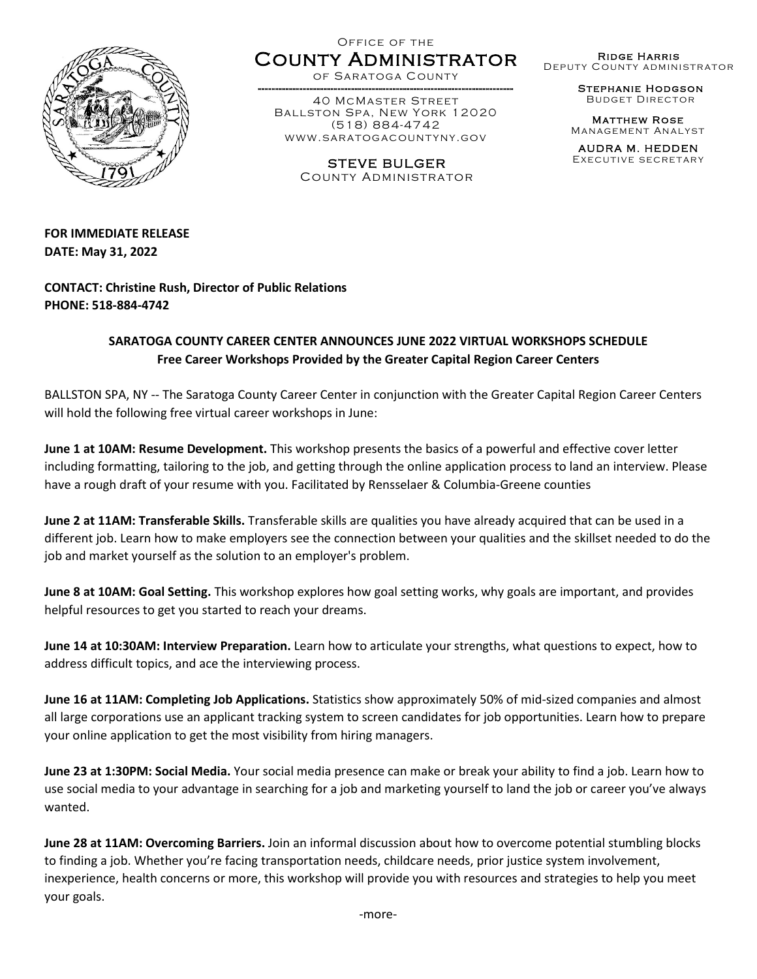

Office of the

County Administrator of Saratoga County

------ ---------------------------- ---------------------------------------- 40 McMaster Street Ballston Spa, New York 12020 (518) 884-4742 www.saratogacountyny.gov

> STEVE BULGER County Administrator

Ridge Harris Deputy County administrator

> Stephanie Hodgson Budget Director

Matthew Rose Management Analyst

AUDRA M. HEDDEN Executive secretary

**FOR IMMEDIATE RELEASE DATE: May 31, 2022**

**CONTACT: Christine Rush, Director of Public Relations PHONE: 518-884-4742**

## **SARATOGA COUNTY CAREER CENTER ANNOUNCES JUNE 2022 VIRTUAL WORKSHOPS SCHEDULE Free Career Workshops Provided by the Greater Capital Region Career Centers**

BALLSTON SPA, NY -- The Saratoga County Career Center in conjunction with the Greater Capital Region Career Centers will hold the following free virtual career workshops in June:

**June 1 at 10AM: Resume Development.** This workshop presents the basics of a powerful and effective cover letter including formatting, tailoring to the job, and getting through the online application process to land an interview. Please have a rough draft of your resume with you. Facilitated by Rensselaer & Columbia-Greene counties

**June 2 at 11AM: Transferable Skills.** Transferable skills are qualities you have already acquired that can be used in a different job. Learn how to make employers see the connection between your qualities and the skillset needed to do the job and market yourself as the solution to an employer's problem.

**June 8 at 10AM: Goal Setting.** This workshop explores how goal setting works, why goals are important, and provides helpful resources to get you started to reach your dreams.

**June 14 at 10:30AM: Interview Preparation.** Learn how to articulate your strengths, what questions to expect, how to address difficult topics, and ace the interviewing process.

**June 16 at 11AM: Completing Job Applications.** Statistics show approximately 50% of mid-sized companies and almost all large corporations use an applicant tracking system to screen candidates for job opportunities. Learn how to prepare your online application to get the most visibility from hiring managers.

**June 23 at 1:30PM: Social Media.** Your social media presence can make or break your ability to find a job. Learn how to use social media to your advantage in searching for a job and marketing yourself to land the job or career you've always wanted.

**June 28 at 11AM: Overcoming Barriers.** Join an informal discussion about how to overcome potential stumbling blocks to finding a job. Whether you're facing transportation needs, childcare needs, prior justice system involvement, inexperience, health concerns or more, this workshop will provide you with resources and strategies to help you meet your goals.